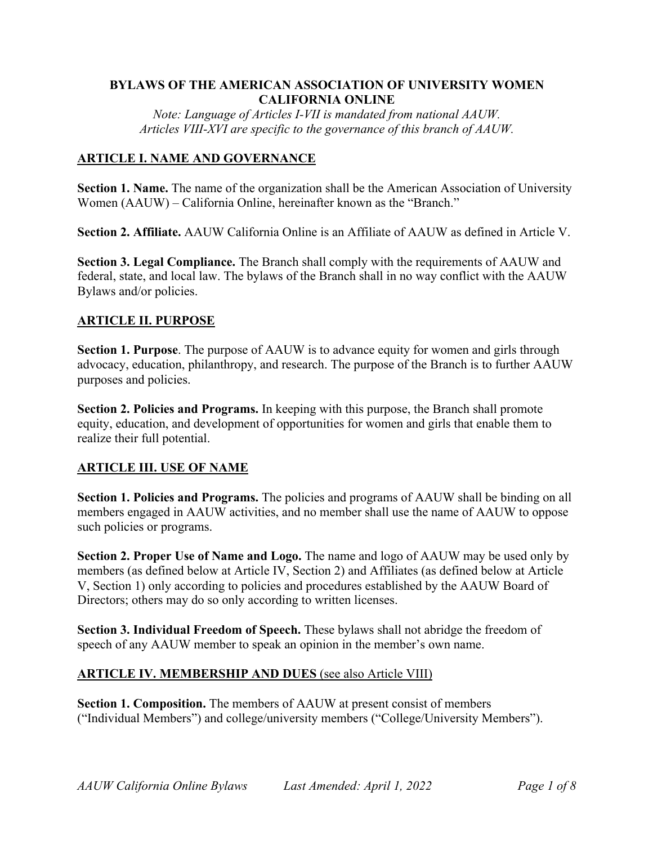## **BYLAWS OF THE AMERICAN ASSOCIATION OF UNIVERSITY WOMEN CALIFORNIA ONLINE**

*Note: Language of Articles I-VII is mandated from national AAUW. Articles VIII-XVI are specific to the governance of this branch of AAUW.*

## **ARTICLE I. NAME AND GOVERNANCE**

**Section 1. Name.** The name of the organization shall be the American Association of University Women (AAUW) – California Online, hereinafter known as the "Branch."

**Section 2. Affiliate.** AAUW California Online is an Affiliate of AAUW as defined in Article V.

**Section 3. Legal Compliance.** The Branch shall comply with the requirements of AAUW and federal, state, and local law. The bylaws of the Branch shall in no way conflict with the AAUW Bylaws and/or policies.

### **ARTICLE II. PURPOSE**

**Section 1. Purpose**. The purpose of AAUW is to advance equity for women and girls through advocacy, education, philanthropy, and research. The purpose of the Branch is to further AAUW purposes and policies.

**Section 2. Policies and Programs.** In keeping with this purpose, the Branch shall promote equity, education, and development of opportunities for women and girls that enable them to realize their full potential.

#### **ARTICLE III. USE OF NAME**

**Section 1. Policies and Programs.** The policies and programs of AAUW shall be binding on all members engaged in AAUW activities, and no member shall use the name of AAUW to oppose such policies or programs.

**Section 2. Proper Use of Name and Logo.** The name and logo of AAUW may be used only by members (as defined below at Article IV, Section 2) and Affiliates (as defined below at Article V, Section 1) only according to policies and procedures established by the AAUW Board of Directors; others may do so only according to written licenses.

**Section 3. Individual Freedom of Speech.** These bylaws shall not abridge the freedom of speech of any AAUW member to speak an opinion in the member's own name.

#### **ARTICLE IV. MEMBERSHIP AND DUES** (see also Article VIII)

**Section 1. Composition.** The members of AAUW at present consist of members ("Individual Members") and college/university members ("College/University Members").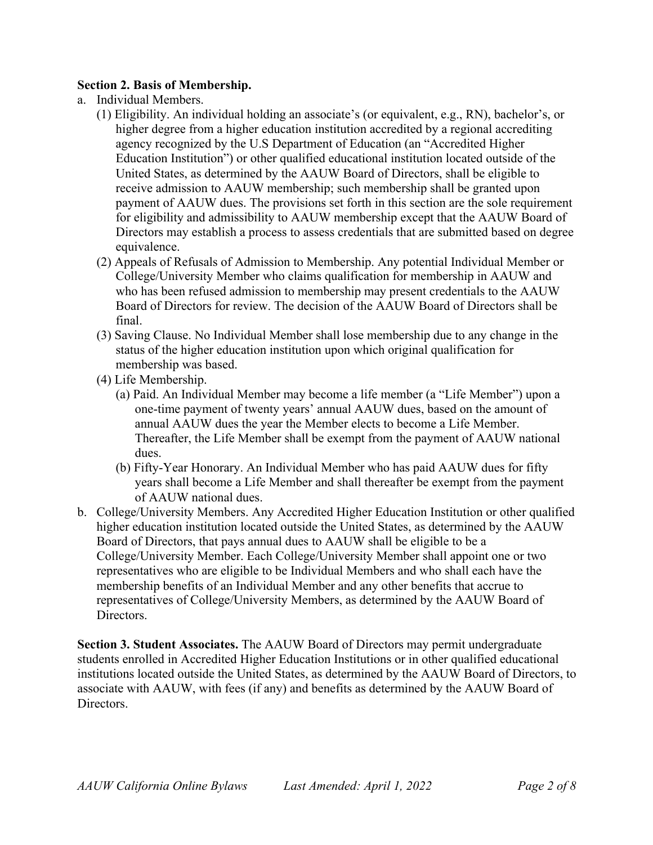## **Section 2. Basis of Membership.**

- a. Individual Members.
	- (1) Eligibility. An individual holding an associate's (or equivalent, e.g., RN), bachelor's, or higher degree from a higher education institution accredited by a regional accrediting agency recognized by the U.S Department of Education (an "Accredited Higher Education Institution") or other qualified educational institution located outside of the United States, as determined by the AAUW Board of Directors, shall be eligible to receive admission to AAUW membership; such membership shall be granted upon payment of AAUW dues. The provisions set forth in this section are the sole requirement for eligibility and admissibility to AAUW membership except that the AAUW Board of Directors may establish a process to assess credentials that are submitted based on degree equivalence.
	- (2) Appeals of Refusals of Admission to Membership. Any potential Individual Member or College/University Member who claims qualification for membership in AAUW and who has been refused admission to membership may present credentials to the AAUW Board of Directors for review. The decision of the AAUW Board of Directors shall be final.
	- (3) Saving Clause. No Individual Member shall lose membership due to any change in the status of the higher education institution upon which original qualification for membership was based.
	- (4) Life Membership.
		- (a) Paid. An Individual Member may become a life member (a "Life Member") upon a one-time payment of twenty years' annual AAUW dues, based on the amount of annual AAUW dues the year the Member elects to become a Life Member. Thereafter, the Life Member shall be exempt from the payment of AAUW national dues.
		- (b) Fifty-Year Honorary. An Individual Member who has paid AAUW dues for fifty years shall become a Life Member and shall thereafter be exempt from the payment of AAUW national dues.
- b. College/University Members. Any Accredited Higher Education Institution or other qualified higher education institution located outside the United States, as determined by the AAUW Board of Directors, that pays annual dues to AAUW shall be eligible to be a College/University Member. Each College/University Member shall appoint one or two representatives who are eligible to be Individual Members and who shall each have the membership benefits of an Individual Member and any other benefits that accrue to representatives of College/University Members, as determined by the AAUW Board of Directors.

**Section 3. Student Associates.** The AAUW Board of Directors may permit undergraduate students enrolled in Accredited Higher Education Institutions or in other qualified educational institutions located outside the United States, as determined by the AAUW Board of Directors, to associate with AAUW, with fees (if any) and benefits as determined by the AAUW Board of Directors.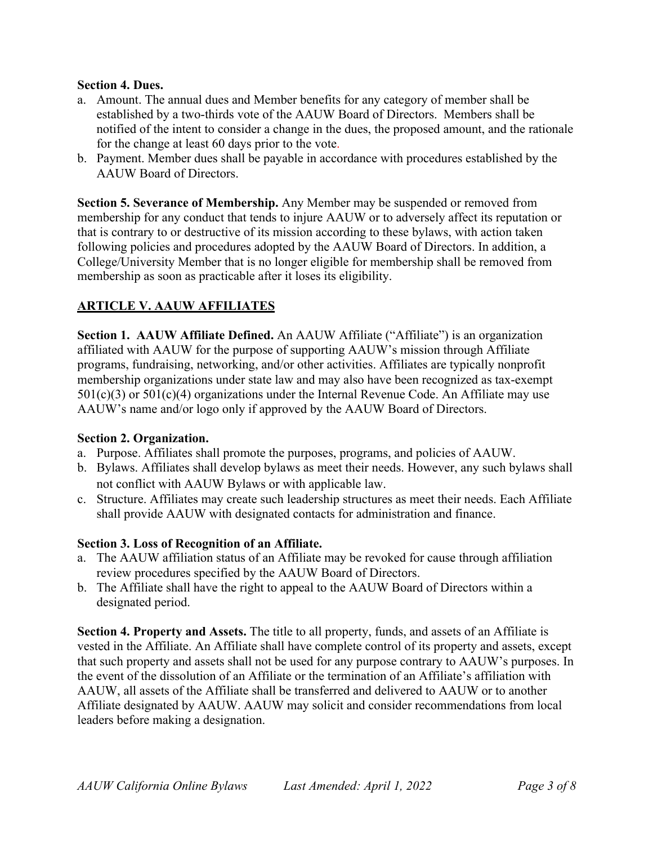#### **Section 4. Dues.**

- a. Amount. The annual dues and Member benefits for any category of member shall be established by a two-thirds vote of the AAUW Board of Directors. Members shall be notified of the intent to consider a change in the dues, the proposed amount, and the rationale for the change at least 60 days prior to the vote.
- b. Payment. Member dues shall be payable in accordance with procedures established by the AAUW Board of Directors.

**Section 5. Severance of Membership.** Any Member may be suspended or removed from membership for any conduct that tends to injure AAUW or to adversely affect its reputation or that is contrary to or destructive of its mission according to these bylaws, with action taken following policies and procedures adopted by the AAUW Board of Directors. In addition, a College/University Member that is no longer eligible for membership shall be removed from membership as soon as practicable after it loses its eligibility.

## **ARTICLE V. AAUW AFFILIATES**

**Section 1. AAUW Affiliate Defined.** An AAUW Affiliate ("Affiliate") is an organization affiliated with AAUW for the purpose of supporting AAUW's mission through Affiliate programs, fundraising, networking, and/or other activities. Affiliates are typically nonprofit membership organizations under state law and may also have been recognized as tax-exempt  $501(c)(3)$  or  $501(c)(4)$  organizations under the Internal Revenue Code. An Affiliate may use AAUW's name and/or logo only if approved by the AAUW Board of Directors.

#### **Section 2. Organization.**

- a. Purpose. Affiliates shall promote the purposes, programs, and policies of AAUW.
- b. Bylaws. Affiliates shall develop bylaws as meet their needs. However, any such bylaws shall not conflict with AAUW Bylaws or with applicable law.
- c. Structure. Affiliates may create such leadership structures as meet their needs. Each Affiliate shall provide AAUW with designated contacts for administration and finance.

## **Section 3. Loss of Recognition of an Affiliate.**

- a. The AAUW affiliation status of an Affiliate may be revoked for cause through affiliation review procedures specified by the AAUW Board of Directors.
- b. The Affiliate shall have the right to appeal to the AAUW Board of Directors within a designated period.

**Section 4. Property and Assets.** The title to all property, funds, and assets of an Affiliate is vested in the Affiliate. An Affiliate shall have complete control of its property and assets, except that such property and assets shall not be used for any purpose contrary to AAUW's purposes. In the event of the dissolution of an Affiliate or the termination of an Affiliate's affiliation with AAUW, all assets of the Affiliate shall be transferred and delivered to AAUW or to another Affiliate designated by AAUW. AAUW may solicit and consider recommendations from local leaders before making a designation.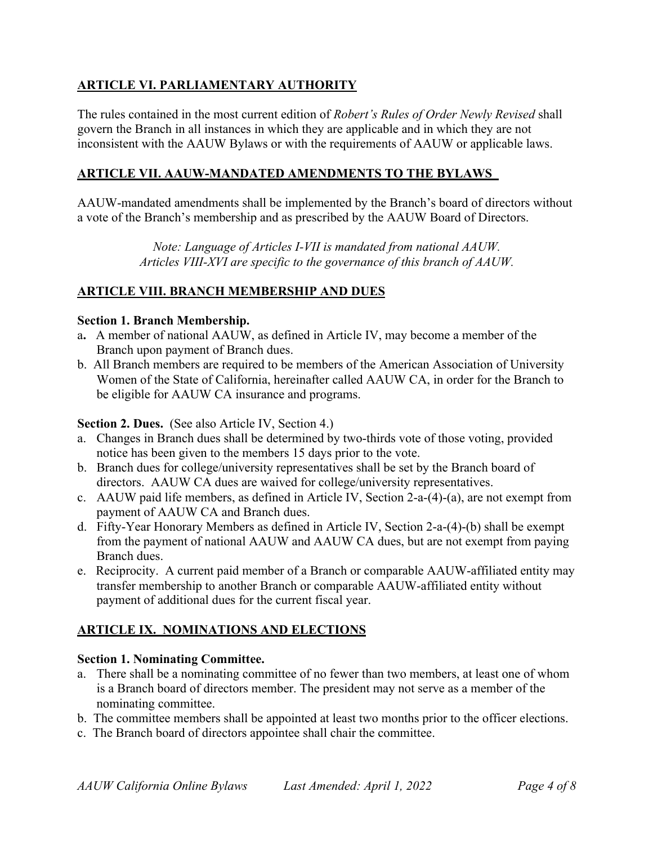# **ARTICLE VI. PARLIAMENTARY AUTHORITY**

The rules contained in the most current edition of *Robert's Rules of Order Newly Revised* shall govern the Branch in all instances in which they are applicable and in which they are not inconsistent with the AAUW Bylaws or with the requirements of AAUW or applicable laws.

## **ARTICLE VII. AAUW-MANDATED AMENDMENTS TO THE BYLAWS**

AAUW-mandated amendments shall be implemented by the Branch's board of directors without a vote of the Branch's membership and as prescribed by the AAUW Board of Directors.

> *Note: Language of Articles I-VII is mandated from national AAUW. Articles VIII-XVI are specific to the governance of this branch of AAUW.*

### **ARTICLE VIII. BRANCH MEMBERSHIP AND DUES**

#### **Section 1. Branch Membership.**

- a**.** A member of national AAUW, as defined in Article IV, may become a member of the Branch upon payment of Branch dues.
- b. All Branch members are required to be members of the American Association of University Women of the State of California, hereinafter called AAUW CA, in order for the Branch to be eligible for AAUW CA insurance and programs.

#### **Section 2. Dues.** (See also Article IV, Section 4.)

- a. Changes in Branch dues shall be determined by two-thirds vote of those voting, provided notice has been given to the members 15 days prior to the vote.
- b. Branch dues for college/university representatives shall be set by the Branch board of directors. AAUW CA dues are waived for college/university representatives.
- c. AAUW paid life members, as defined in Article IV, Section 2-a-(4)-(a), are not exempt from payment of AAUW CA and Branch dues.
- d. Fifty-Year Honorary Members as defined in Article IV, Section 2-a-(4)-(b) shall be exempt from the payment of national AAUW and AAUW CA dues, but are not exempt from paying Branch dues.
- e. Reciprocity. A current paid member of a Branch or comparable AAUW-affiliated entity may transfer membership to another Branch or comparable AAUW-affiliated entity without payment of additional dues for the current fiscal year.

## **ARTICLE IX. NOMINATIONS AND ELECTIONS**

#### **Section 1. Nominating Committee.**

- a. There shall be a nominating committee of no fewer than two members, at least one of whom is a Branch board of directors member. The president may not serve as a member of the nominating committee.
- b. The committee members shall be appointed at least two months prior to the officer elections.
- c. The Branch board of directors appointee shall chair the committee.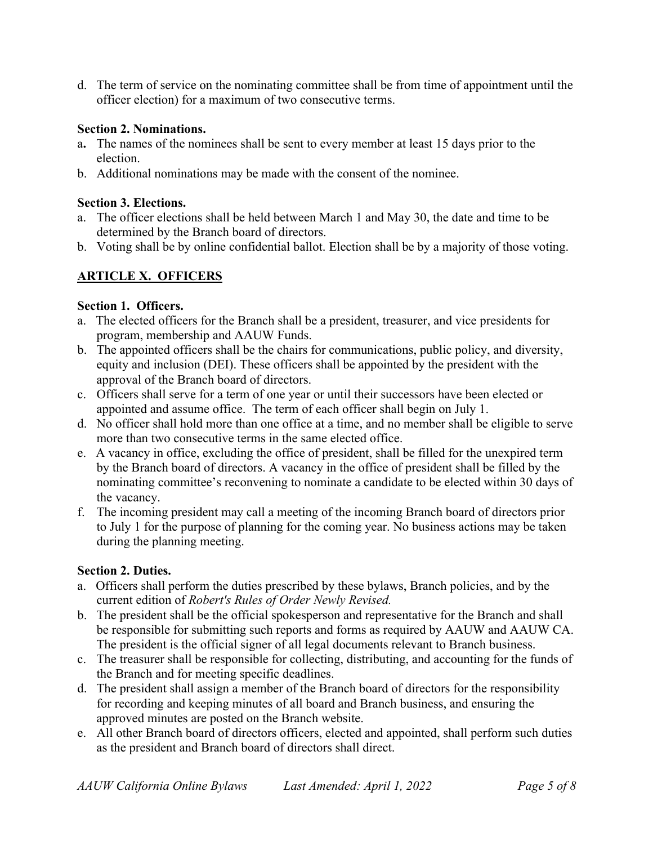d. The term of service on the nominating committee shall be from time of appointment until the officer election) for a maximum of two consecutive terms.

### **Section 2. Nominations.**

- a**.** The names of the nominees shall be sent to every member at least 15 days prior to the election.
- b. Additional nominations may be made with the consent of the nominee.

#### **Section 3. Elections.**

- a. The officer elections shall be held between March 1 and May 30, the date and time to be determined by the Branch board of directors.
- b. Voting shall be by online confidential ballot. Election shall be by a majority of those voting.

# **ARTICLE X. OFFICERS**

### **Section 1. Officers.**

- a. The elected officers for the Branch shall be a president, treasurer, and vice presidents for program, membership and AAUW Funds.
- b. The appointed officers shall be the chairs for communications, public policy, and diversity, equity and inclusion (DEI). These officers shall be appointed by the president with the approval of the Branch board of directors.
- c. Officers shall serve for a term of one year or until their successors have been elected or appointed and assume office. The term of each officer shall begin on July 1.
- d. No officer shall hold more than one office at a time, and no member shall be eligible to serve more than two consecutive terms in the same elected office.
- e. A vacancy in office, excluding the office of president, shall be filled for the unexpired term by the Branch board of directors. A vacancy in the office of president shall be filled by the nominating committee's reconvening to nominate a candidate to be elected within 30 days of the vacancy.
- f. The incoming president may call a meeting of the incoming Branch board of directors prior to July 1 for the purpose of planning for the coming year. No business actions may be taken during the planning meeting.

#### **Section 2. Duties.**

- a. Officers shall perform the duties prescribed by these bylaws, Branch policies, and by the current edition of *Robert's Rules of Order Newly Revised.*
- b. The president shall be the official spokesperson and representative for the Branch and shall be responsible for submitting such reports and forms as required by AAUW and AAUW CA. The president is the official signer of all legal documents relevant to Branch business.
- c. The treasurer shall be responsible for collecting, distributing, and accounting for the funds of the Branch and for meeting specific deadlines.
- d. The president shall assign a member of the Branch board of directors for the responsibility for recording and keeping minutes of all board and Branch business, and ensuring the approved minutes are posted on the Branch website.
- e. All other Branch board of directors officers, elected and appointed, shall perform such duties as the president and Branch board of directors shall direct.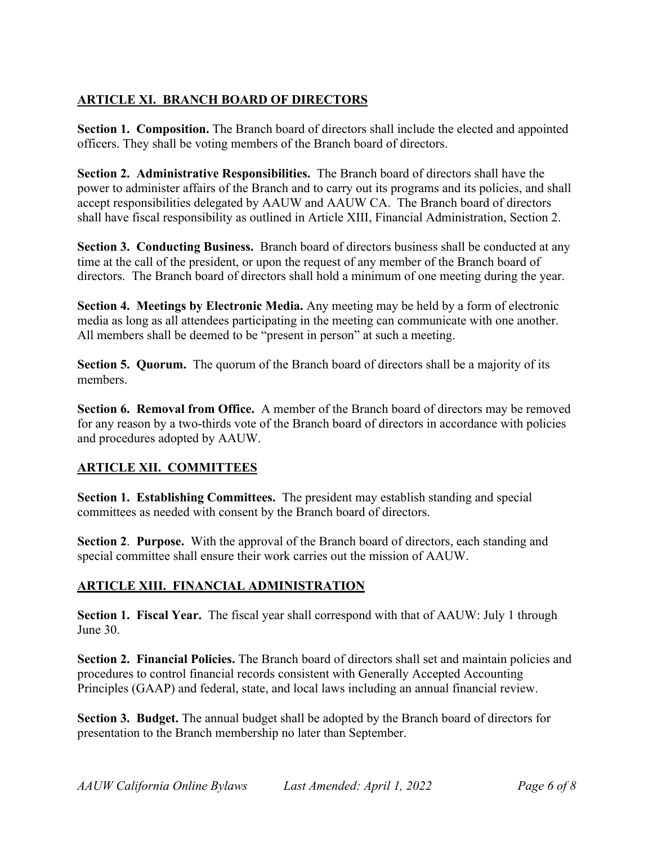# **ARTICLE XI. BRANCH BOARD OF DIRECTORS**

Section 1. Composition. The Branch board of directors shall include the elected and appointed officers. They shall be voting members of the Branch board of directors.

**Section 2. Administrative Responsibilities.** The Branch board of directors shall have the power to administer affairs of the Branch and to carry out its programs and its policies, and shall accept responsibilities delegated by AAUW and AAUW CA. The Branch board of directors shall have fiscal responsibility as outlined in Article XIII, Financial Administration, Section 2.

**Section 3. Conducting Business.** Branch board of directors business shall be conducted at any time at the call of the president, or upon the request of any member of the Branch board of directors. The Branch board of directors shall hold a minimum of one meeting during the year.

**Section 4. Meetings by Electronic Media.** Any meeting may be held by a form of electronic media as long as all attendees participating in the meeting can communicate with one another. All members shall be deemed to be "present in person" at such a meeting.

**Section 5. Quorum.** The quorum of the Branch board of directors shall be a majority of its members.

**Section 6. Removal from Office.** A member of the Branch board of directors may be removed for any reason by a two-thirds vote of the Branch board of directors in accordance with policies and procedures adopted by AAUW.

# **ARTICLE XII. COMMITTEES**

**Section 1. Establishing Committees.** The president may establish standing and special committees as needed with consent by the Branch board of directors.

**Section 2**. **Purpose.** With the approval of the Branch board of directors, each standing and special committee shall ensure their work carries out the mission of AAUW.

# **ARTICLE XIII. FINANCIAL ADMINISTRATION**

**Section 1. Fiscal Year.** The fiscal year shall correspond with that of AAUW: July 1 through June 30.

**Section 2. Financial Policies.** The Branch board of directors shall set and maintain policies and procedures to control financial records consistent with Generally Accepted Accounting Principles (GAAP) and federal, state, and local laws including an annual financial review.

**Section 3. Budget.** The annual budget shall be adopted by the Branch board of directors for presentation to the Branch membership no later than September.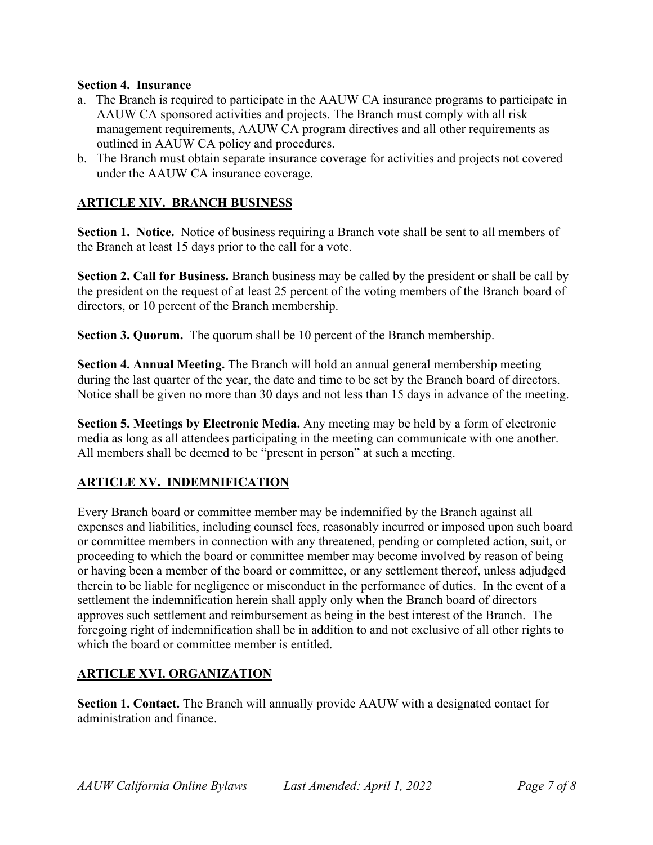#### **Section 4. Insurance**

- a. The Branch is required to participate in the AAUW CA insurance programs to participate in AAUW CA sponsored activities and projects. The Branch must comply with all risk management requirements, AAUW CA program directives and all other requirements as outlined in AAUW CA policy and procedures.
- b. The Branch must obtain separate insurance coverage for activities and projects not covered under the AAUW CA insurance coverage.

## **ARTICLE XIV. BRANCH BUSINESS**

**Section 1. Notice.** Notice of business requiring a Branch vote shall be sent to all members of the Branch at least 15 days prior to the call for a vote.

**Section 2. Call for Business.** Branch business may be called by the president or shall be call by the president on the request of at least 25 percent of the voting members of the Branch board of directors, or 10 percent of the Branch membership.

**Section 3. Quorum.** The quorum shall be 10 percent of the Branch membership.

**Section 4. Annual Meeting.** The Branch will hold an annual general membership meeting during the last quarter of the year, the date and time to be set by the Branch board of directors. Notice shall be given no more than 30 days and not less than 15 days in advance of the meeting.

**Section 5. Meetings by Electronic Media.** Any meeting may be held by a form of electronic media as long as all attendees participating in the meeting can communicate with one another. All members shall be deemed to be "present in person" at such a meeting.

## **ARTICLE XV. INDEMNIFICATION**

Every Branch board or committee member may be indemnified by the Branch against all expenses and liabilities, including counsel fees, reasonably incurred or imposed upon such board or committee members in connection with any threatened, pending or completed action, suit, or proceeding to which the board or committee member may become involved by reason of being or having been a member of the board or committee, or any settlement thereof, unless adjudged therein to be liable for negligence or misconduct in the performance of duties. In the event of a settlement the indemnification herein shall apply only when the Branch board of directors approves such settlement and reimbursement as being in the best interest of the Branch. The foregoing right of indemnification shall be in addition to and not exclusive of all other rights to which the board or committee member is entitled.

## **ARTICLE XVI. ORGANIZATION**

**Section 1. Contact.** The Branch will annually provide AAUW with a designated contact for administration and finance.